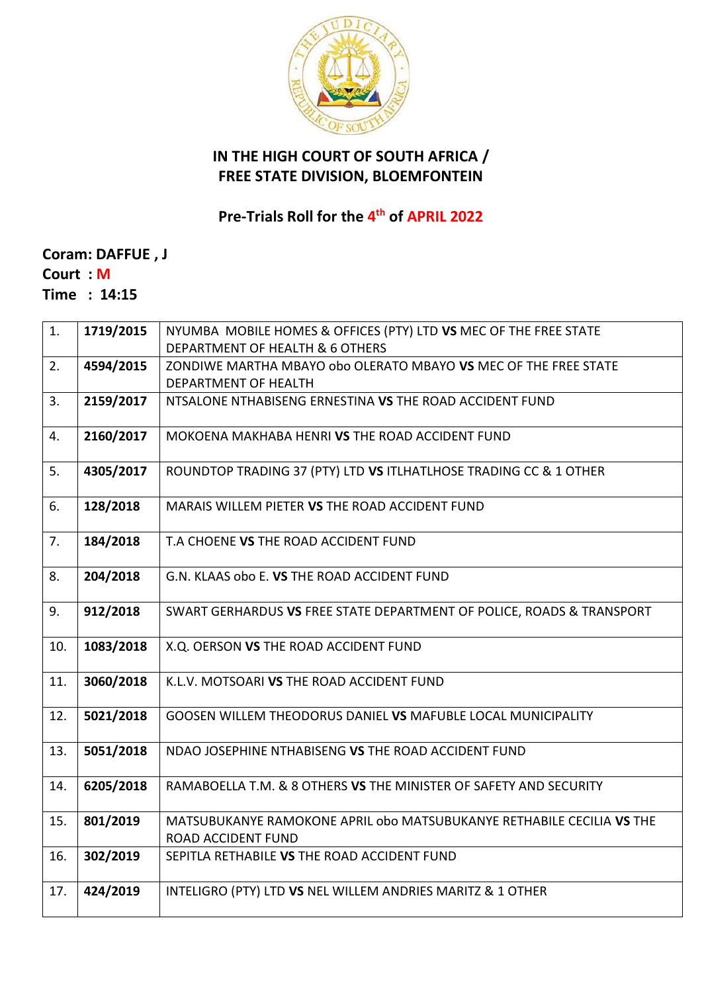

## **IN THE HIGH COURT OF SOUTH AFRICA / FREE STATE DIVISION, BLOEMFONTEIN**

**Pre-Trials Roll for the 4 th of APRIL 2022**

**Coram: DAFFUE , J Court : M Time : 14:15**

| 1.  | 1719/2015 | NYUMBA MOBILE HOMES & OFFICES (PTY) LTD VS MEC OF THE FREE STATE                            |
|-----|-----------|---------------------------------------------------------------------------------------------|
|     |           | DEPARTMENT OF HEALTH & 6 OTHERS                                                             |
| 2.  | 4594/2015 | ZONDIWE MARTHA MBAYO obo OLERATO MBAYO VS MEC OF THE FREE STATE                             |
|     |           | DEPARTMENT OF HEALTH                                                                        |
| 3.  | 2159/2017 | NTSALONE NTHABISENG ERNESTINA VS THE ROAD ACCIDENT FUND                                     |
| 4.  | 2160/2017 | MOKOENA MAKHABA HENRI VS THE ROAD ACCIDENT FUND                                             |
| 5.  | 4305/2017 | ROUNDTOP TRADING 37 (PTY) LTD VS ITLHATLHOSE TRADING CC & 1 OTHER                           |
| 6.  | 128/2018  | MARAIS WILLEM PIETER VS THE ROAD ACCIDENT FUND                                              |
| 7.  | 184/2018  | T.A CHOENE VS THE ROAD ACCIDENT FUND                                                        |
| 8.  | 204/2018  | G.N. KLAAS obo E. VS THE ROAD ACCIDENT FUND                                                 |
| 9.  | 912/2018  | SWART GERHARDUS VS FREE STATE DEPARTMENT OF POLICE, ROADS & TRANSPORT                       |
| 10. | 1083/2018 | X.Q. OERSON VS THE ROAD ACCIDENT FUND                                                       |
| 11. | 3060/2018 | K.L.V. MOTSOARI VS THE ROAD ACCIDENT FUND                                                   |
| 12. | 5021/2018 | <b>GOOSEN WILLEM THEODORUS DANIEL VS MAFUBLE LOCAL MUNICIPALITY</b>                         |
| 13. | 5051/2018 | NDAO JOSEPHINE NTHABISENG VS THE ROAD ACCIDENT FUND                                         |
| 14. | 6205/2018 | RAMABOELLA T.M. & 8 OTHERS VS THE MINISTER OF SAFETY AND SECURITY                           |
| 15. | 801/2019  | MATSUBUKANYE RAMOKONE APRIL obo MATSUBUKANYE RETHABILE CECILIA VS THE<br>ROAD ACCIDENT FUND |
| 16. | 302/2019  | SEPITLA RETHABILE VS THE ROAD ACCIDENT FUND                                                 |
| 17. | 424/2019  | INTELIGRO (PTY) LTD VS NEL WILLEM ANDRIES MARITZ & 1 OTHER                                  |